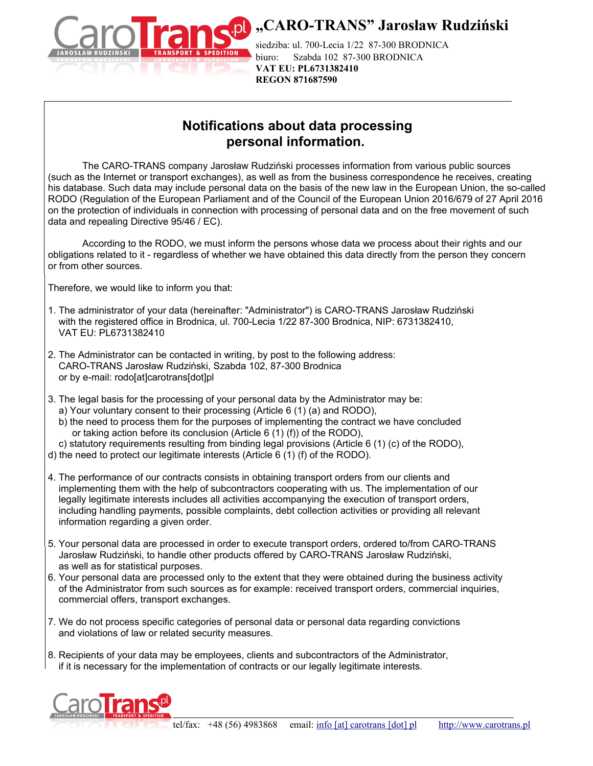

## **D.** "CARO-TRANS" Jarosław Rudziński

siedziba: ul. 700-Lecia 1/22 87-300 BRODNICA biuro: Szabda 102 87-300 BRODNICA **VAT EU: PL6731382410 REGON 871687590**

## **Notifications about data processing personal information.**

The CARO-TRANS company Jarosław Rudziński processes information from various public sources (such as the Internet or transport exchanges), as well as from the business correspondence he receives, creating his database. Such data may include personal data on the basis of the new law in the European Union, the so-called RODO (Regulation of the European Parliament and of the Council of the European Union 2016/679 of 27 April 2016 on the protection of individuals in connection with processing of personal data and on the free movement of such data and repealing Directive 95/46 / EC).

According to the RODO, we must inform the persons whose data we process about their rights and our obligations related to it - regardless of whether we have obtained this data directly from the person they concern or from other sources.

Therefore, we would like to inform you that:

- 1. The administrator of your data (hereinafter: "Administrator") is CARO-TRANS Jarosław Rudziński with the registered office in Brodnica, ul. 700-Lecia 1/22 87-300 Brodnica, NIP: 6731382410, VAT EU: PL6731382410
- 2. The Administrator can be contacted in writing, by post to the following address: CARO-TRANS Jarosław Rudziński, Szabda 102, 87-300 Brodnica or by e-mail: rodo[at]carotrans[dot]pl
- 3. The legal basis for the processing of your personal data by the Administrator may be:
	- a) Your voluntary consent to their processing (Article 6 (1) (a) and RODO),
	- b) the need to process them for the purposes of implementing the contract we have concluded or taking action before its conclusion (Article 6 (1) (f)) of the RODO),
- c) statutory requirements resulting from binding legal provisions (Article 6 (1) (c) of the RODO),
- d) the need to protect our legitimate interests (Article 6 (1) (f) of the RODO).
- 4. The performance of our contracts consists in obtaining transport orders from our clients and implementing them with the help of subcontractors cooperating with us. The implementation of our legally legitimate interests includes all activities accompanying the execution of transport orders, including handling payments, possible complaints, debt collection activities or providing all relevant information regarding a given order.
- 5. Your personal data are processed in order to execute transport orders, ordered to/from CARO-TRANS Jarosław Rudziński, to handle other products offered by CARO-TRANS Jarosław Rudziński, as well as for statistical purposes.
- 6. Your personal data are processed only to the extent that they were obtained during the business activity of the Administrator from such sources as for example: received transport orders, commercial inquiries, commercial offers, transport exchanges.
- 7. We do not process specific categories of personal data or personal data regarding convictions and violations of law or related security measures.
- 8. Recipients of your data may be employees, clients and subcontractors of the Administrator, if it is necessary for the implementation of contracts or our legally legitimate interests.